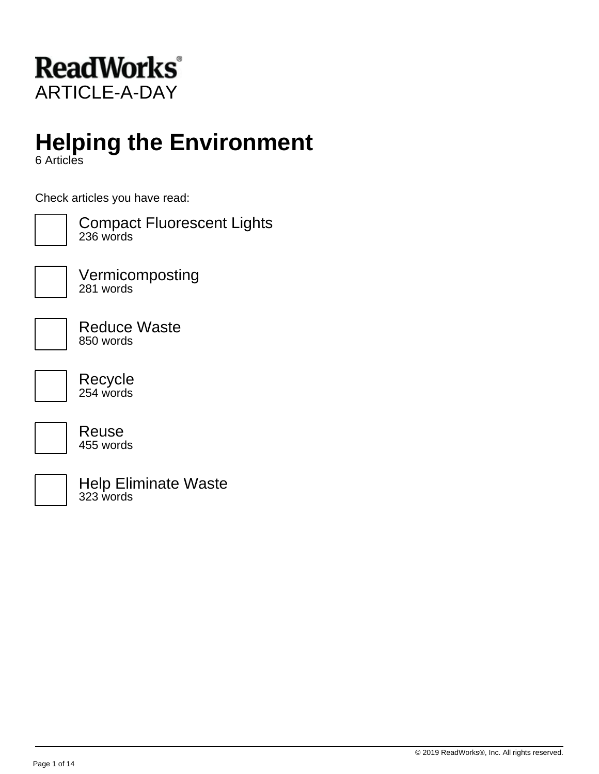

# **Helping the Environment**

6 Articles

Check articles you have read:



Compact Fluorescent Lights 236 words



Vermicomposting 281 words

Reduce Waste 850 words

Recycle 254 words



Reuse 455 words

Help Eliminate Waste 323 words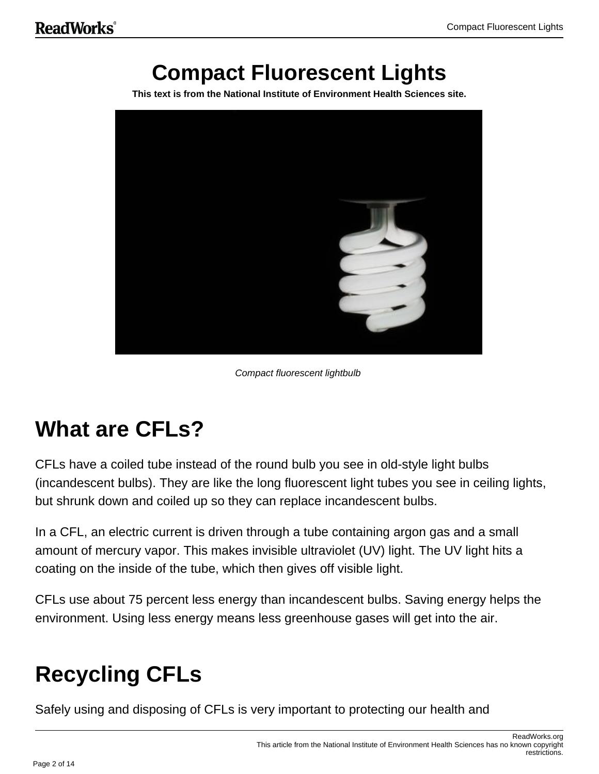# **Compact Fluorescent Lights**

**This text is from the National Institute of Environment Health Sciences site.**



Compact fluorescent lightbulb

# **What are CFLs?**

CFLs have a coiled tube instead of the round bulb you see in old-style light bulbs (incandescent bulbs). They are like the long fluorescent light tubes you see in ceiling lights, but shrunk down and coiled up so they can replace incandescent bulbs.

In a CFL, an electric current is driven through a tube containing argon gas and a small amount of mercury vapor. This makes invisible ultraviolet (UV) light. The UV light hits a coating on the inside of the tube, which then gives off visible light.

CFLs use about 75 percent less energy than incandescent bulbs. Saving energy helps the environment. Using less energy means less greenhouse gases will get into the air.

# **Recycling CFLs**

Safely using and disposing of CFLs is very important to protecting our health and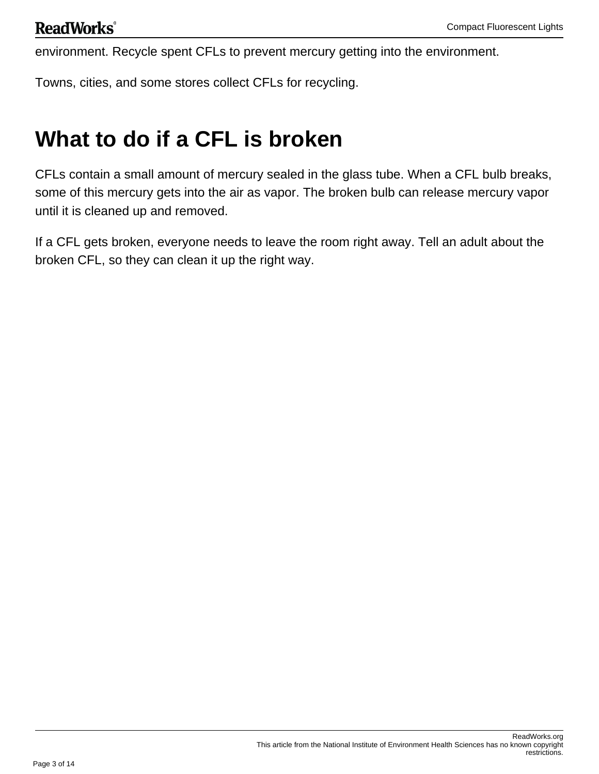environment. Recycle spent CFLs to prevent mercury getting into the environment.

Towns, cities, and some stores collect CFLs for recycling.

# **What to do if a CFL is broken**

CFLs contain a small amount of mercury sealed in the glass tube. When a CFL bulb breaks, some of this mercury gets into the air as vapor. The broken bulb can release mercury vapor until it is cleaned up and removed.

If a CFL gets broken, everyone needs to leave the room right away. Tell an adult about the broken CFL, so they can clean it up the right way.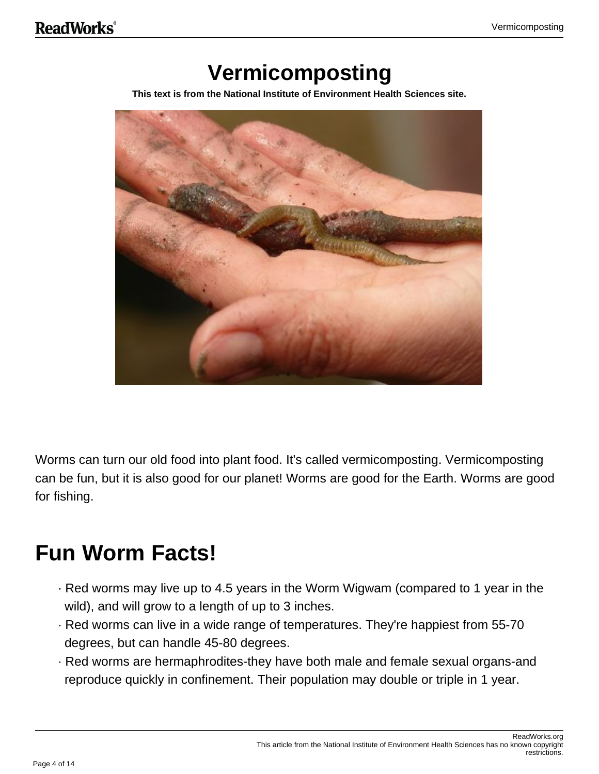# **Vermicomposting**

**This text is from the National Institute of Environment Health Sciences site.**



Worms can turn our old food into plant food. It's called vermicomposting. Vermicomposting can be fun, but it is also good for our planet! Worms are good for the Earth. Worms are good for fishing.

# **Fun Worm Facts!**

- · Red worms may live up to 4.5 years in the Worm Wigwam (compared to 1 year in the wild), and will grow to a length of up to 3 inches.
- · Red worms can live in a wide range of temperatures. They're happiest from 55-70 degrees, but can handle 45-80 degrees.
- · Red worms are hermaphrodites-they have both male and female sexual organs-and reproduce quickly in confinement. Their population may double or triple in 1 year.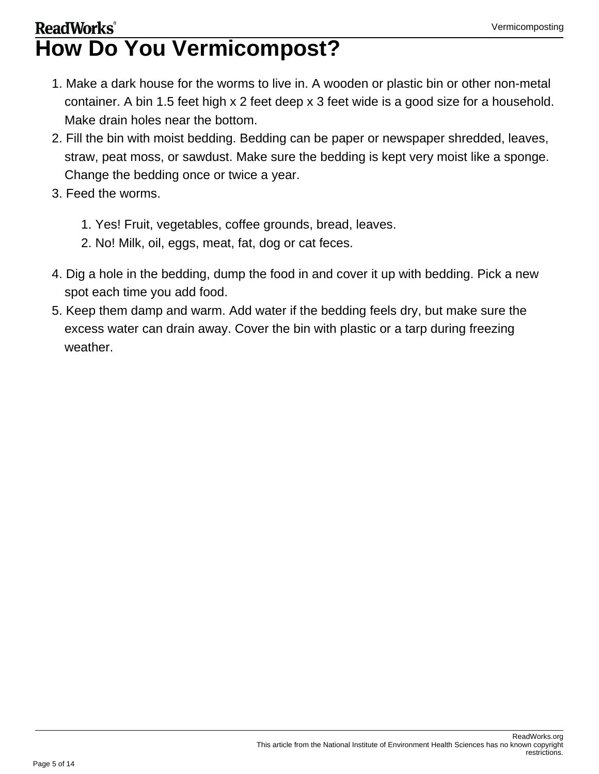## **ReadWorks**<sup>®</sup> **How Do You Vermicompost?**

- 1. Make a dark house for the worms to live in. A wooden or plastic bin or other non-metal container. A bin 1.5 feet high x 2 feet deep x 3 feet wide is a good size for a household. Make drain holes near the bottom.
- 2. Fill the bin with moist bedding. Bedding can be paper or newspaper shredded, leaves, straw, peat moss, or sawdust. Make sure the bedding is kept very moist like a sponge. Change the bedding once or twice a year.
- 3. Feed the worms.
	- 1. Yes! Fruit, vegetables, coffee grounds, bread, leaves.
	- 2. No! Milk, oil, eggs, meat, fat, dog or cat feces.
- 4. Dig a hole in the bedding, dump the food in and cover it up with bedding. Pick a new spot each time you add food.
- 5. Keep them damp and warm. Add water if the bedding feels dry, but make sure the excess water can drain away. Cover the bin with plastic or a tarp during freezing weather.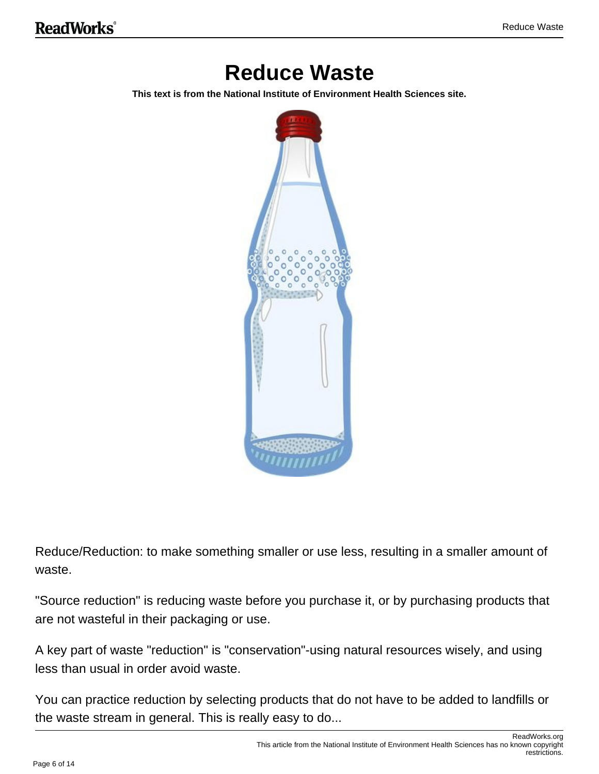## **Reduce Waste**

**This text is from the National Institute of Environment Health Sciences site.**



Reduce/Reduction: to make something smaller or use less, resulting in a smaller amount of waste.

"Source reduction" is reducing waste before you purchase it, or by purchasing products that are not wasteful in their packaging or use.

A key part of waste "reduction" is "conservation"-using natural resources wisely, and using less than usual in order avoid waste.

You can practice reduction by selecting products that do not have to be added to landfills or the waste stream in general. This is really easy to do...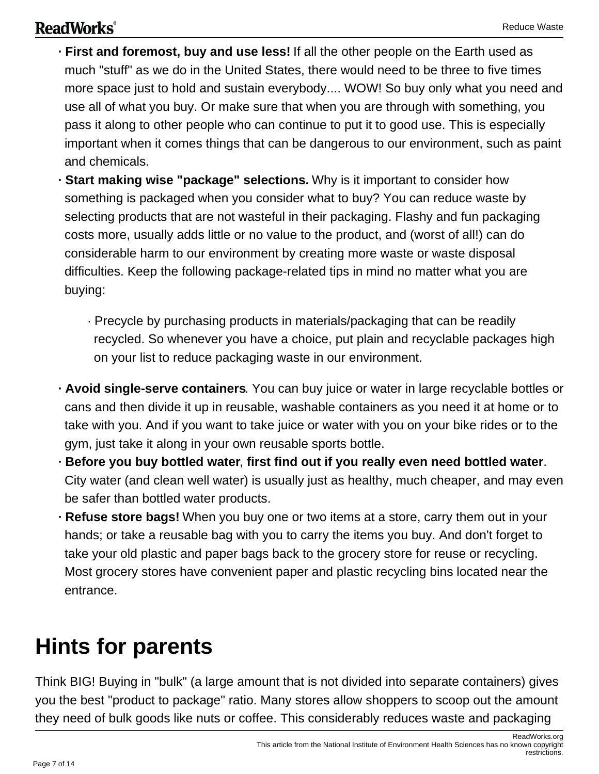### **ReadWorks**®

- **· First and foremost, buy and use less!** If all the other people on the Earth used as much "stuff" as we do in the United States, there would need to be three to five times more space just to hold and sustain everybody.... WOW! So buy only what you need and use all of what you buy. Or make sure that when you are through with something, you pass it along to other people who can continue to put it to good use. This is especially important when it comes things that can be dangerous to our environment, such as paint and chemicals.
- **· Start making wise "package" selections.** Why is it important to consider how something is packaged when you consider what to buy? You can reduce waste by selecting products that are not wasteful in their packaging. Flashy and fun packaging costs more, usually adds little or no value to the product, and (worst of all!) can do considerable harm to our environment by creating more waste or waste disposal difficulties. Keep the following package-related tips in mind no matter what you are buying:
	- · Precycle by purchasing products in materials/packaging that can be readily recycled. So whenever you have a choice, put plain and recyclable packages high on your list to reduce packaging waste in our environment.
- **· Avoid single-serve containers**. You can buy juice or water in large recyclable bottles or cans and then divide it up in reusable, washable containers as you need it at home or to take with you. And if you want to take juice or water with you on your bike rides or to the gym, just take it along in your own reusable sports bottle.
- **· Before you buy bottled water**, **first find out if you really even need bottled water**. City water (and clean well water) is usually just as healthy, much cheaper, and may even be safer than bottled water products.
- **· Refuse store bags!** When you buy one or two items at a store, carry them out in your hands; or take a reusable bag with you to carry the items you buy. And don't forget to take your old plastic and paper bags back to the grocery store for reuse or recycling. Most grocery stores have convenient paper and plastic recycling bins located near the entrance.

# **Hints for parents**

Think BIG! Buying in "bulk" (a large amount that is not divided into separate containers) gives you the best "product to package" ratio. Many stores allow shoppers to scoop out the amount they need of bulk goods like nuts or coffee. This considerably reduces waste and packaging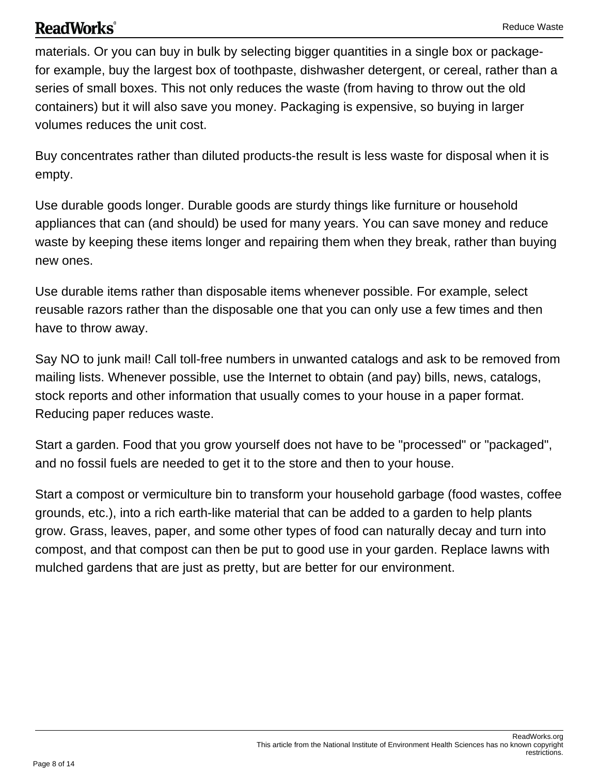#### Reduce Waste

### **ReadWorks**<sup>®</sup>

materials. Or you can buy in bulk by selecting bigger quantities in a single box or packagefor example, buy the largest box of toothpaste, dishwasher detergent, or cereal, rather than a series of small boxes. This not only reduces the waste (from having to throw out the old containers) but it will also save you money. Packaging is expensive, so buying in larger volumes reduces the unit cost.

Buy concentrates rather than diluted products-the result is less waste for disposal when it is empty.

Use durable goods longer. Durable goods are sturdy things like furniture or household appliances that can (and should) be used for many years. You can save money and reduce waste by keeping these items longer and repairing them when they break, rather than buying new ones.

Use durable items rather than disposable items whenever possible. For example, select reusable razors rather than the disposable one that you can only use a few times and then have to throw away.

Say NO to junk mail! Call toll-free numbers in unwanted catalogs and ask to be removed from mailing lists. Whenever possible, use the Internet to obtain (and pay) bills, news, catalogs, stock reports and other information that usually comes to your house in a paper format. Reducing paper reduces waste.

Start a garden. Food that you grow yourself does not have to be "processed" or "packaged", and no fossil fuels are needed to get it to the store and then to your house.

Start a compost or vermiculture bin to transform your household garbage (food wastes, coffee grounds, etc.), into a rich earth-like material that can be added to a garden to help plants grow. Grass, leaves, paper, and some other types of food can naturally decay and turn into compost, and that compost can then be put to good use in your garden. Replace lawns with mulched gardens that are just as pretty, but are better for our environment.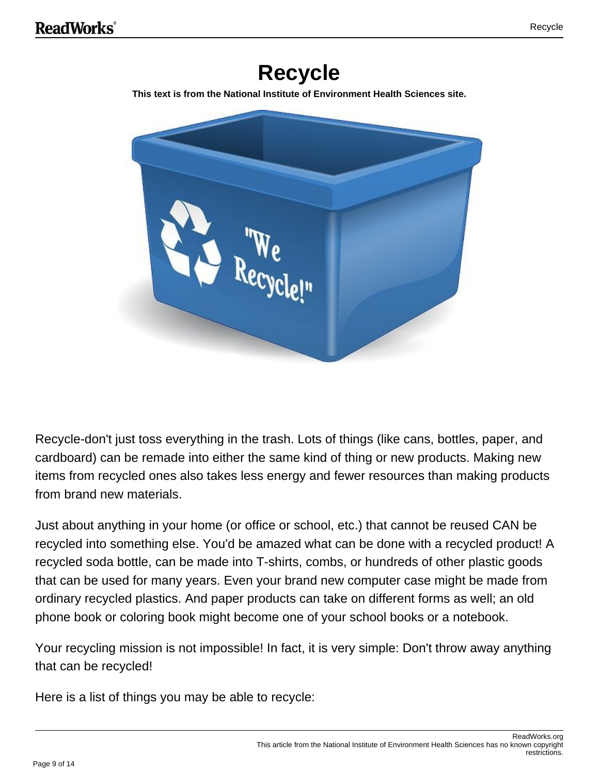## **Recycle**

**This text is from the National Institute of Environment Health Sciences site.**



Recycle-don't just toss everything in the trash. Lots of things (like cans, bottles, paper, and cardboard) can be remade into either the same kind of thing or new products. Making new items from recycled ones also takes less energy and fewer resources than making products from brand new materials.

Just about anything in your home (or office or school, etc.) that cannot be reused CAN be recycled into something else. You'd be amazed what can be done with a recycled product! A recycled soda bottle, can be made into T-shirts, combs, or hundreds of other plastic goods that can be used for many years. Even your brand new computer case might be made from ordinary recycled plastics. And paper products can take on different forms as well; an old phone book or coloring book might become one of your school books or a notebook.

Your recycling mission is not impossible! In fact, it is very simple: Don't throw away anything that can be recycled!

Here is a list of things you may be able to recycle: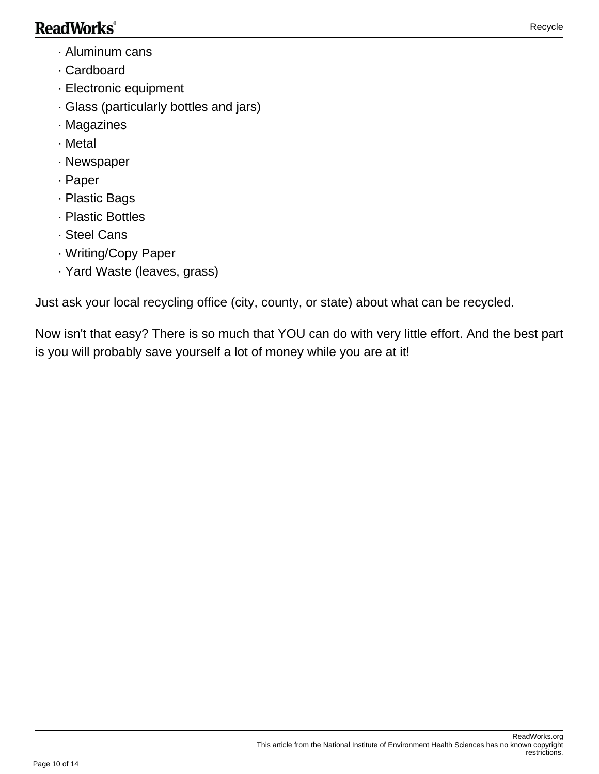### **ReadWorks**®

- · Aluminum cans
- · Cardboard
- · Electronic equipment
- · Glass (particularly bottles and jars)
- · Magazines
- · Metal
- · Newspaper
- · Paper
- · Plastic Bags
- · Plastic Bottles
- · Steel Cans
- · Writing/Copy Paper
- · Yard Waste (leaves, grass)

Just ask your local recycling office (city, county, or state) about what can be recycled.

Now isn't that easy? There is so much that YOU can do with very little effort. And the best part is you will probably save yourself a lot of money while you are at it!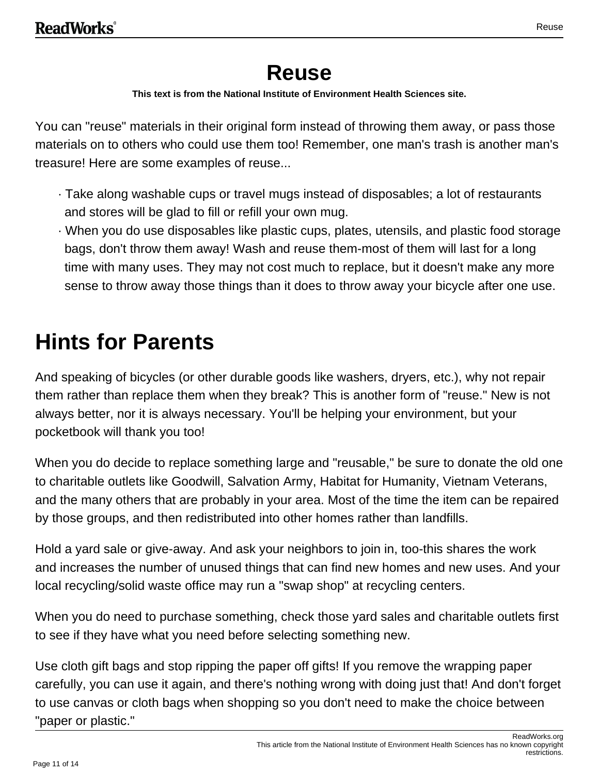## **Reuse**

**This text is from the National Institute of Environment Health Sciences site.**

You can "reuse" materials in their original form instead of throwing them away, or pass those materials on to others who could use them too! Remember, one man's trash is another man's treasure! Here are some examples of reuse...

- · Take along washable cups or travel mugs instead of disposables; a lot of restaurants and stores will be glad to fill or refill your own mug.
- · When you do use disposables like plastic cups, plates, utensils, and plastic food storage bags, don't throw them away! Wash and reuse them-most of them will last for a long time with many uses. They may not cost much to replace, but it doesn't make any more sense to throw away those things than it does to throw away your bicycle after one use.

# **Hints for Parents**

And speaking of bicycles (or other durable goods like washers, dryers, etc.), why not repair them rather than replace them when they break? This is another form of "reuse." New is not always better, nor it is always necessary. You'll be helping your environment, but your pocketbook will thank you too!

When you do decide to replace something large and "reusable," be sure to donate the old one to charitable outlets like Goodwill, Salvation Army, Habitat for Humanity, Vietnam Veterans, and the many others that are probably in your area. Most of the time the item can be repaired by those groups, and then redistributed into other homes rather than landfills.

Hold a yard sale or give-away. And ask your neighbors to join in, too-this shares the work and increases the number of unused things that can find new homes and new uses. And your local recycling/solid waste office may run a "swap shop" at recycling centers.

When you do need to purchase something, check those yard sales and charitable outlets first to see if they have what you need before selecting something new.

Use cloth gift bags and stop ripping the paper off gifts! If you remove the wrapping paper carefully, you can use it again, and there's nothing wrong with doing just that! And don't forget to use canvas or cloth bags when shopping so you don't need to make the choice between "paper or plastic."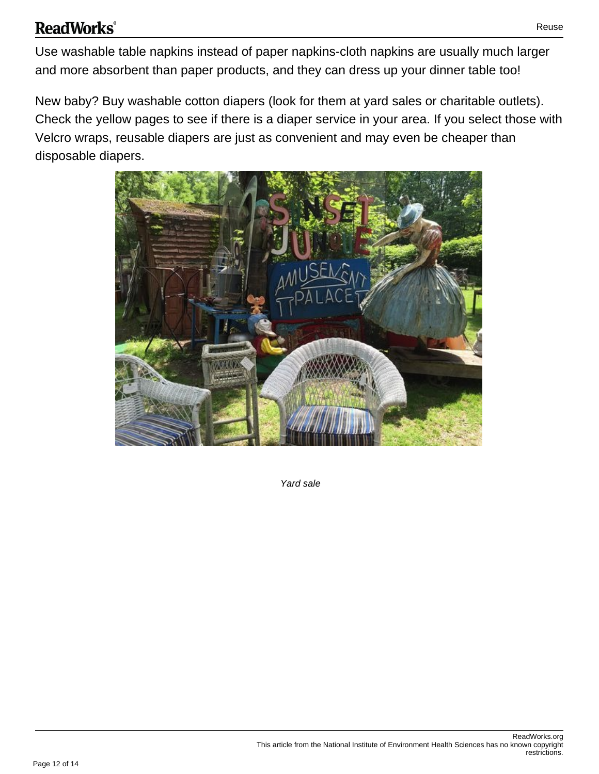### **ReadWorks**®

Use washable table napkins instead of paper napkins-cloth napkins are usually much larger and more absorbent than paper products, and they can dress up your dinner table too!

New baby? Buy washable cotton diapers (look for them at yard sales or charitable outlets). Check the yellow pages to see if there is a diaper service in your area. If you select those with Velcro wraps, reusable diapers are just as convenient and may even be cheaper than disposable diapers.



Yard sale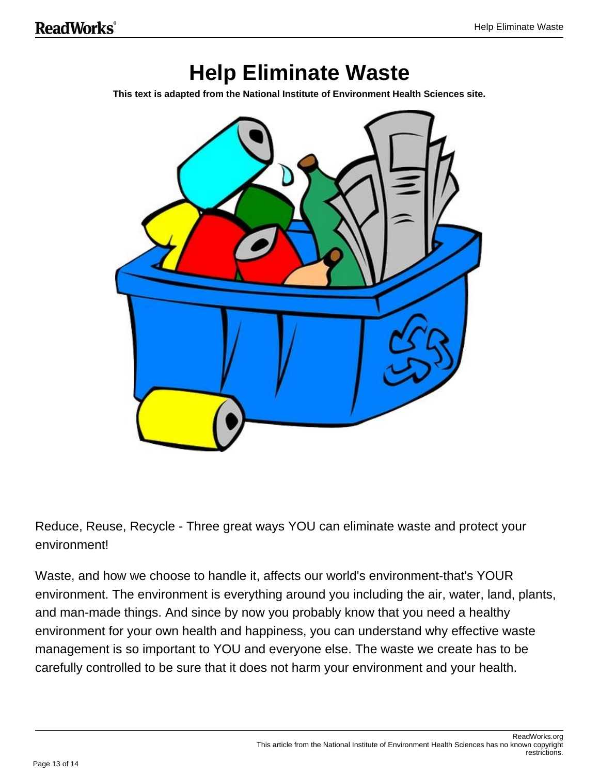## **Help Eliminate Waste**

**This text is adapted from the National Institute of Environment Health Sciences site.**



Reduce, Reuse, Recycle - Three great ways YOU can eliminate waste and protect your environment!

Waste, and how we choose to handle it, affects our world's environment-that's YOUR environment. The environment is everything around you including the air, water, land, plants, and man-made things. And since by now you probably know that you need a healthy environment for your own health and happiness, you can understand why effective waste management is so important to YOU and everyone else. The waste we create has to be carefully controlled to be sure that it does not harm your environment and your health.